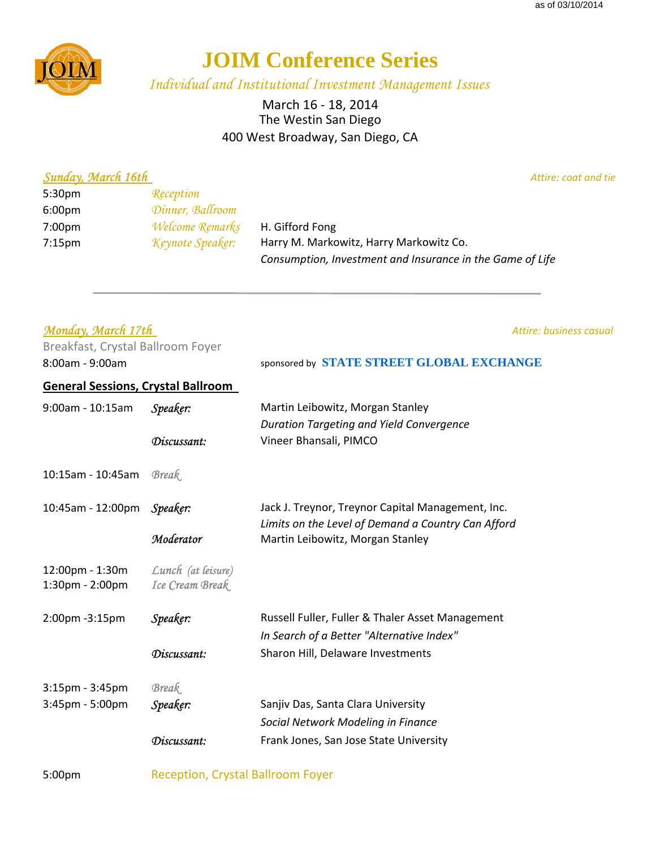

# **JOIM Conference Series**

*Individual and Institutional Investment Management Issues*

# 400 West Broadway, San Diego, CA March 16 ‐ 18, 2014 The Westin San Diego

# *Sunday, March 16th Attire: coat and tie*

| 5:30pm             | Reception              |                                                           |
|--------------------|------------------------|-----------------------------------------------------------|
| 6:00 <sub>pm</sub> | Dinner, Ballroom       |                                                           |
| 7:00pm             | <i>Welcome Remarks</i> | H. Gifford Fong                                           |
| $7:15 \text{pm}$   | Keynote Speaker:       | Harry M. Markowitz, Harry Markowitz Co.                   |
|                    |                        | Consumption, Investment and Insurance in the Game of Life |

| Monday, March 17th                                   |                                          | Attire: business casual                                                                |
|------------------------------------------------------|------------------------------------------|----------------------------------------------------------------------------------------|
| Breakfast, Crystal Ballroom Foyer<br>8:00am - 9:00am |                                          | sponsored by STATE STREET GLOBAL EXCHANGE                                              |
| <b>General Sessions, Crystal Ballroom</b>            |                                          |                                                                                        |
| 9:00am - 10:15am                                     | Speaker:                                 | Martin Leibowitz, Morgan Stanley                                                       |
|                                                      | Discussant:                              | Duration Targeting and Yield Convergence<br>Vineer Bhansali, PIMCO                     |
| 10:15am - 10:45am                                    | <b>Break</b>                             |                                                                                        |
| 10:45am - 12:00pm                                    | Speaker:                                 | Jack J. Treynor, Treynor Capital Management, Inc.                                      |
|                                                      | Moderator                                | Limits on the Level of Demand a Country Can Afford<br>Martin Leibowitz, Morgan Stanley |
| 12:00pm - 1:30m<br>1:30pm - 2:00pm                   | Lunch (at leisure)<br>Ice Cream Break    |                                                                                        |
| 2:00pm -3:15pm                                       | Speaker:                                 | Russell Fuller, Fuller & Thaler Asset Management                                       |
|                                                      |                                          | In Search of a Better "Alternative Index"                                              |
|                                                      | Discussant:                              | Sharon Hill, Delaware Investments                                                      |
| $3:15$ pm - $3:45$ pm                                | <b>Break</b>                             |                                                                                        |
| 3:45pm - 5:00pm                                      | Speaker:                                 | Sanjiv Das, Santa Clara University                                                     |
|                                                      |                                          | Social Network Modeling in Finance                                                     |
|                                                      | Discussant:                              | Frank Jones, San Jose State University                                                 |
| 5:00 <sub>pm</sub>                                   | <b>Reception, Crystal Ballroom Foyer</b> |                                                                                        |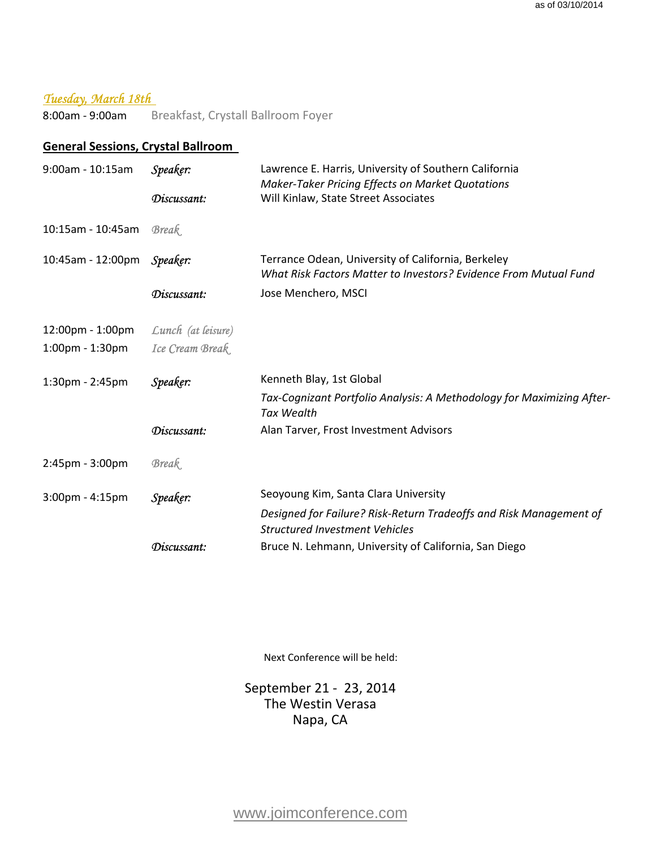# *Tuesday, March 18th*

8:00am ‐ 9:00am Breakfast, Crystall Ballroom Foyer

### **General Sessions, Crystal Ballroom**

| $9:00$ am - 10:15am   | Speaker:           | Lawrence E. Harris, University of Southern California<br>Maker-Taker Pricing Effects on Market Quotations              |
|-----------------------|--------------------|------------------------------------------------------------------------------------------------------------------------|
|                       | Discussant:        | Will Kinlaw, State Street Associates                                                                                   |
| 10:15am - 10:45am     | <b>Break</b>       |                                                                                                                        |
| 10:45am - 12:00pm     | Speaker:           | Terrance Odean, University of California, Berkeley<br>What Risk Factors Matter to Investors? Evidence From Mutual Fund |
|                       | Discussant:        | Jose Menchero, MSCI                                                                                                    |
| 12:00pm - 1:00pm      | Lunch (at leisure) |                                                                                                                        |
| $1:00$ pm - $1:30$ pm | Ice Cream Break    |                                                                                                                        |
| $1:30$ pm - $2:45$ pm | Speaker:           | Kenneth Blay, 1st Global                                                                                               |
|                       |                    | Tax-Cognizant Portfolio Analysis: A Methodology for Maximizing After-<br><b>Tax Wealth</b>                             |
|                       | Discussant:        | Alan Tarver, Frost Investment Advisors                                                                                 |
| 2:45pm - 3:00pm       | <b>Break</b>       |                                                                                                                        |
| $3:00$ pm - $4:15$ pm | Speaker:           | Seoyoung Kim, Santa Clara University                                                                                   |
|                       |                    | Designed for Failure? Risk-Return Tradeoffs and Risk Management of<br><b>Structured Investment Vehicles</b>            |
|                       | Discussant:        | Bruce N. Lehmann, University of California, San Diego                                                                  |

Next Conference will be held:

September 21 ‐ 23, 2014 Napa, CA The Westin Verasa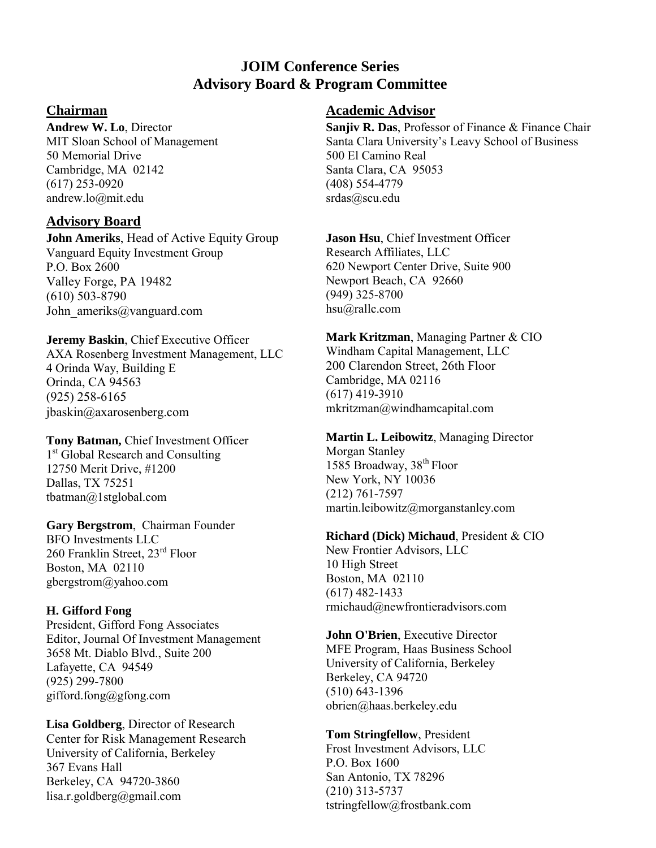# **JOIM Conference Series Advisory Board & Program Committee**

**Andrew W. Lo**, Director MIT Sloan School of Management 50 Memorial Drive Cambridge, MA 02142 (617) 253-0920 andrew.lo@mit.edu

## **Advisory Board**

**John Ameriks**, Head of Active Equity Group Vanguard Equity Investment Group P.O. Box 2600 Valley Forge, PA 19482 (610) 503-8790 John\_ameriks@vanguard.com

#### **Jeremy Baskin**, Chief Executive Officer

AXA Rosenberg Investment Management, LLC 4 Orinda Way, Building E Orinda, CA 94563 (925) 258-6165 jbaskin@axarosenberg.com

**Tony Batman,** Chief Investment Officer 1<sup>st</sup> Global Research and Consulting 12750 Merit Drive, #1200 Dallas, TX 75251 tbatman@1stglobal.com

# **Gary Bergstrom**, Chairman Founder

BFO Investments LLC 260 Franklin Street, 23rd Floor Boston, MA 02110 gbergstrom@yahoo.com

#### **[H. Gifford Fong](javascript:popUp()**

President, Gifford Fong Associates Editor, Journal Of Investment Management 3658 Mt. Diablo Blvd., Suite 200 Lafayette, CA 94549 (925) 299-7800 [gifford.fong@gfong.com](mailto:gifford.fong@gfong.com)

**Lisa Goldberg**, Director of Research Center for Risk Management Research University of California, Berkeley 367 Evans Hall Berkeley, CA 94720-3860 lisa.r.goldberg@gmail.com

#### **Chairman Academic Advisor**

**Sanjiv R. Das**, Professor of Finance & Finance Chair Santa Clara University's Leavy School of Business 500 El Camino Real Santa Clara, CA 95053 (408) 554-4779 srdas@scu.edu

#### **Jason Hsu**, Chief Investment Officer Research Affiliates, LLC

620 Newport Center Drive, Suite 900 Newport Beach, CA 92660 (949) 325-8700 hsu@rallc.com

#### **Mark Kritzman**, Managing Partner & CIO Windham Capital Management, LLC 200 Clarendon Street, 26th Floor Cambridge, MA 02116 (617) 419-3910 mkritzman@windhamcapital.com

**Martin L. Leibowitz**, Managing Director Morgan Stanley 1585 Broadway, 38th Floor New York, NY 10036 (212) 761-7597 martin.leibowitz@morganstanley.com

#### **Richard (Dick) Michaud**, President & CIO

New Frontier Advisors, LLC 10 High Street Boston, MA 02110 (617) 482-1433 rmichaud@newfrontieradvisors.com

**John O'Brien**, Executive Director MFE Program, Haas Business School University of California, Berkeley Berkeley, CA 94720 (510) 643-1396 obrien@haas.berkeley.edu

#### **Tom Stringfellow**, President

Frost Investment Advisors, LLC P.O. Box 1600 San Antonio, TX 78296 (210) 313-5737 [tstringfellow@frostbank.com](mailto:tstringfellow@frostbank.com)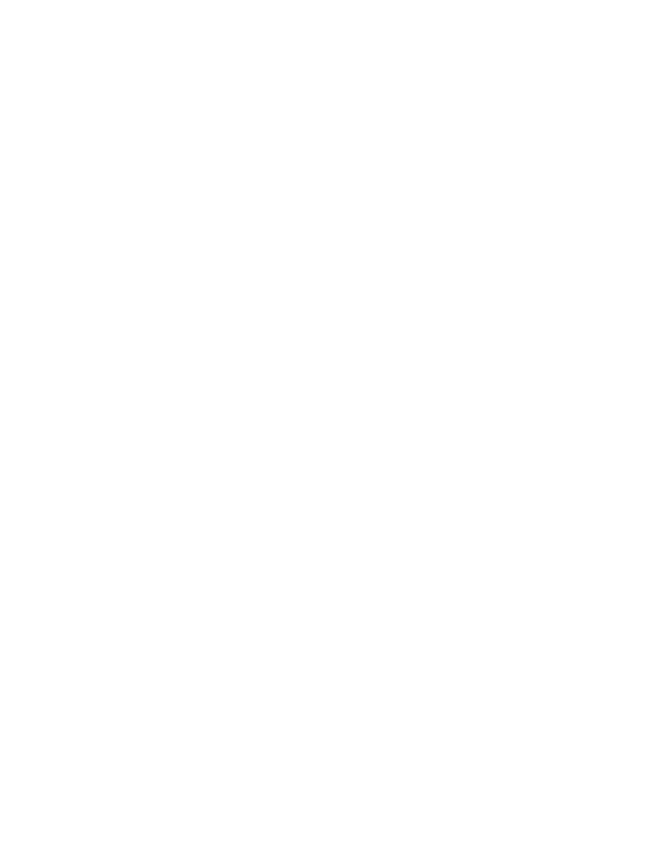# **JOIM Conference Series Advisory Board & Program Committee**

#### **Chairman**

**Andrew W. Lo, Director MIT Sloan School of Management Memorial Drive** Cambidge, MA  $\blacksquare$ B  $-9$ andrewlomitedu

#### **Advisory Board**

John Ameriks, *Had of Active Eqity Group* **Vanguard Eqity Investment Group**  $P\mathbf{B}$ ox Ø Valley Forge, PA 19 Ø -9 **Jhnameriks@nguardcom** 

Jeremy Baskin, Chief Executive fficer **AX Rosenbrg Investment Management, LLC 49nda Way, Building E** Onda, CA 9 -6 Ø **p**skin@xarosenbrgcom

Tony Batman, Chief Investment fficer 1<sup>st</sup> Global Research and Consulting **Merit Drive, #** Dallas, TX *thtman@globlcom* 

**Gary Bergstrom, Chairman Founder BFOnvestments LLC**  $r^d$  Floor **Franklin Street, 3** Boston, MA 0 0 gbrgstrom@hoocom

**H. Gifford Fong President, Gifford Fong Associates Editor, Jurnal OInvestment Management Mt.Dialo Blvd, Suite 0** Lafayette, CA 9 ₽ -0 giffordfong@fongcom

**Lisa Goldberg, Director of Research Center for Risk Management Research hiversity of California, Berkeley Evans Hl Berkeley**, CA **D** -0 *lisargoldbrg@nailcom* 

#### **Academic Advisor**

Sanjiv R. Das, Professor of Finance Finance Chair 6DQWD & ODUD 8QLYHUVLW\¶V **El Camino Real** Santa Clara CA **B** Ø -9 *srdas@uedu* 

Jason Hsu, Chief Investment flicer **Research Affiliates, LLC Newport Center Drive, Suite**  $\boldsymbol{\theta}$ Newport Beach, CA **0** Ø -0 hsukallccom

Mark Kritzman, Managing Partner & IO **Windham Capital Management, LLC Clarendon Street, 8h Floor** Cambidge, MA  $\bullet$ Ø -0

mkritzman@indhamcapitalcom

Martin L. Leibowitz, Managing Director **Morgan Stanley** Broadway, 8  $th$  Floor New York, NY **O** -9 怎 martinleibwitz@organstanleycom

Richard (Dick) Michaud, President &IO **New Frontier Advisors, LLC I H***h* Street Boston, MA  $\blacksquare$  $-4$ æ rmichaud@ewfron tieradvisorscom

**John O'Brien, Executive Director MFE Program, Lts Business School L**iversity of California, Berkeley Berkeley, CA **9** Ø -8 *obienkaasbrkeleyedu* 

**Tom Stringfellow, President Frost Investment Advisors, LLC** P**Box** 0 San Antonio, TX  $-5^{\circ}$ *tstringfellowfcosthnkcom*